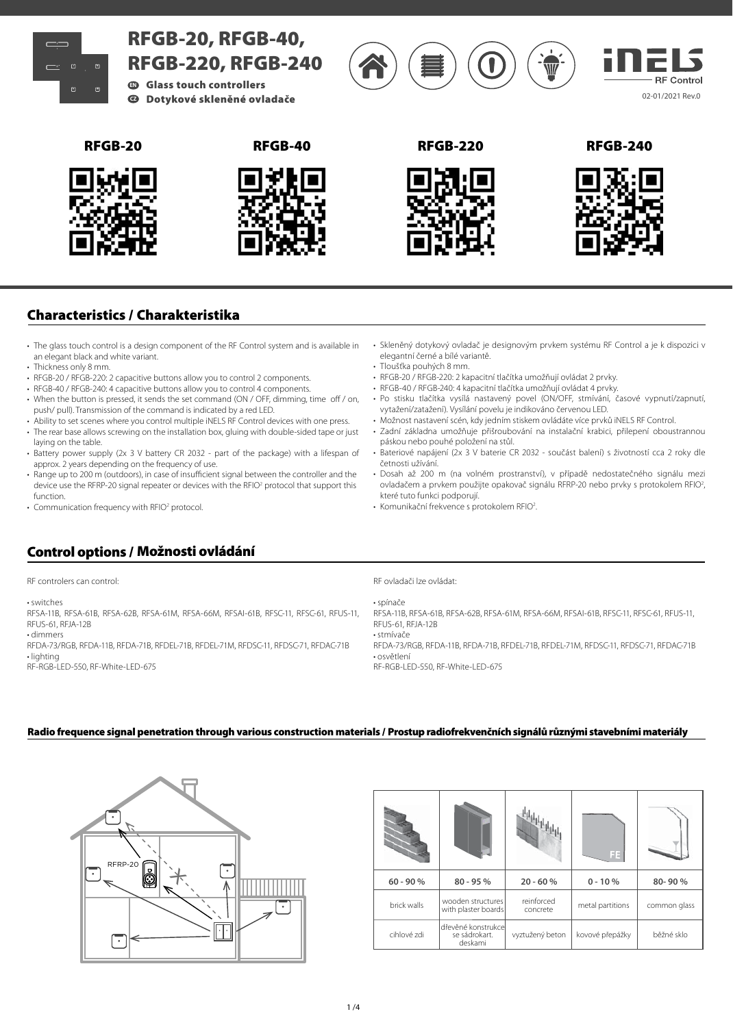

# **Characteristics / Charakteristika**

- The glass touch control is a design component of the RF Control system and is available in an elegant black and white variant.
- Thickness only 8 mm.
- RFGB-20 / RFGB-220: 2 capacitive buttons allow you to control 2 components.
- RFGB-40 / RFGB-240: 4 capacitive buttons allow you to control 4 components.
- When the button is pressed, it sends the set command (ON / OFF, dimming, time off / on, push/ pull). Transmission of the command is indicated by a red LED.
- Ability to set scenes where you control multiple iNELS RF Control devices with one press. • The rear base allows screwing on the installation box, gluing with double-sided tape or just
- laying on the table.
- Battery power supply (2x 3 V battery CR 2032 part of the package) with a lifespan of approx. 2 years depending on the frequency of use.
- Range up to 200 m (outdoors), in case of insufficient signal between the controller and the device use the RFRP-20 signal repeater or devices with the RFIO<sup>2</sup> protocol that support this function.
- Communication frequency with RFIO<sup>2</sup> protocol.
- Skleněný dotykový ovladač je designovým prvkem systému RF Control a je k dispozici v elegantní černé a bílé variantě.
- Tloušťka pouhých 8 mm.
- RFGB-20 / RFGB-220: 2 kapacitní tlačítka umožňují ovládat 2 prvky.
- RFGB-40 / RFGB-240: 4 kapacitní tlačítka umožňují ovládat 4 prvky.
- Po stisku tlačítka vysílá nastavený povel (ON/OFF, stmívání, časové vypnutí/zapnutí, vytažení/zatažení). Vysílání povelu je indikováno červenou LED.
- Možnost nastavení scén, kdy jedním stiskem ovládáte více prvků iNELS RF Control.
- Zadní základna umožňuje přišroubování na instalační krabici, přilepení oboustrannou páskou nebo pouhé položení na stůl.
- Bateriové napájení (2x 3 V baterie CR 2032 součást balení) s životností cca 2 roky dle četnosti užívání.
- Dosah až 200 m (na volném prostranství), v případě nedostatečného signálu mezi ovladačem a prvkem použijte opakovač signálu RFRP-20 nebo prvky s protokolem RFIO<sup>2</sup>, které tuto funkci podporují.
- Komunikační frekvence s protokolem RFIO2

### **Control options / Možnosti ovládání**

RF controlers can control:

• switches

RFSA-11B, RFSA-61B, RFSA-62B, RFSA-61M, RFSA-66M, RFSAI-61B, RFSC-11, RFSC-61, RFUS-11, RFUS-61, RFJA-12B • dimmers

RFDA-73/RGB, RFDA-11B, RFDA-71B, RFDEL-71B, RFDEL-71M, RFDSC-11, RFDSC-71, RFDAC-71B • lighting

RF-RGB-LED-550, RF-White-LED-675

RF ovladači lze ovládat:

• spínače

RFSA-11B, RFSA-61B, RFSA-62B, RFSA-61M, RFSA-66M, RFSAI-61B, RFSC-11, RFSC-61, RFUS-11, RFUS-61, RFJA-12B

• stmívače RFDA-73/RGB, RFDA-11B, RFDA-71B, RFDEL-71B, RFDEL-71M, RFDSC-11, RFDSC-71, RFDAC-71B • osvětlení

RF-RGB-LED-550, RF-White-LED-675

### **Radio frequence signal penetration through various construction materials / Prostup radiofrekvenčních signálů různými stavebními materiály**



|             |                                                 |                        | FE.              |              |
|-------------|-------------------------------------------------|------------------------|------------------|--------------|
| $60 - 90 %$ | $80 - 95%$                                      | $20 - 60%$             | $0 - 10%$        | 80-90%       |
| brick walls | wooden structures<br>with plaster boards        | reinforced<br>concrete | metal partitions | common glass |
| cihlové zdi | dřevěné konstrukcel<br>se sádrokart.<br>deskami | vyztužený beton        | kovové přepážky  | běžné sklo   |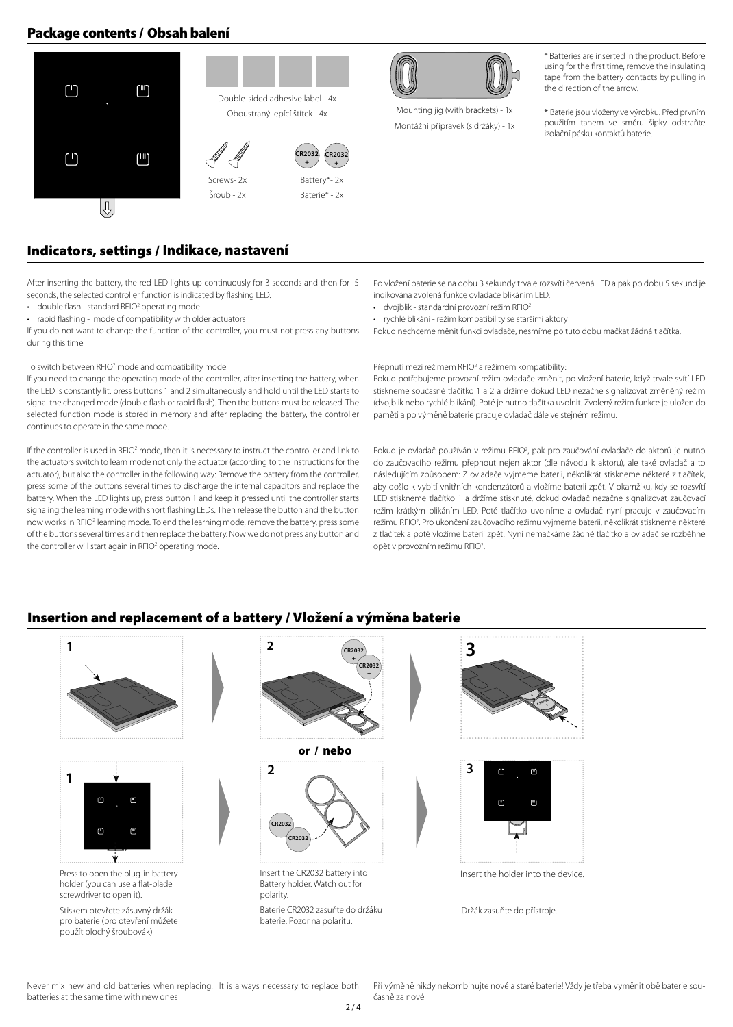## **Package contents / Obsah balení**





Mounting jig (with brackets) - 1x Montážní přípravek (s držáky) - 1x

**+**

\* Batteries are inserted in the product. Before using for the first time, remove the insulating tape from the battery contacts by pulling in the direction of the arrow.

\* Baterie jsou vloženy ve výrobku. Před prvním použitím tahem ve směru šipky odstraňte izolační pásku kontaktů baterie.

### **Indicators, settings / Indikace, nastavení**

After inserting the battery, the red LED lights up continuously for 3 seconds and then for 5 seconds, the selected controller function is indicated by flashing LED.

- $\cdot$  double flash standard RFIO<sup>2</sup> operating mode
- rapid flashing mode of compatibility with older actuators

If you do not want to change the function of the controller, you must not press any buttons during this time

### To switch between RFIO<sup>2</sup> mode and compatibility mode:

If you need to change the operating mode of the controller, after inserting the battery, when the LED is constantly lit. press buttons 1 and 2 simultaneously and hold until the LED starts to signal the changed mode (double flash or rapid flash). Then the buttons must be released. The selected function mode is stored in memory and after replacing the battery, the controller continues to operate in the same mode.

If the controller is used in RFIO<sup>2</sup> mode, then it is necessary to instruct the controller and link to the actuators switch to learn mode not only the actuator (according to the instructions for the actuator), but also the controller in the following way: Remove the battery from the controller, press some of the buttons several times to discharge the internal capacitors and replace the battery. When the LED lights up, press button 1 and keep it pressed until the controller starts signaling the learning mode with short flashing LEDs. Then release the button and the button now works in RFIO<sup>2</sup> learning mode. To end the learning mode, remove the battery, press some of the buttons several times and then replace the battery. Now we do not press any button and the controller will start again in RFIO<sup>2</sup> operating mode.

Po vložení baterie se na dobu 3 sekundy trvale rozsvítí červená LED a pak po dobu 5 sekund je indikována zvolená funkce ovladače blikáním LED.

- dvojblik standardní provozní režim RFIO<sup>2</sup>
- rychlé blikání režim kompatibility se staršími aktory

Pokud nechceme měnit funkci ovladače, nesmíme po tuto dobu mačkat žádná tlačítka.

#### Přepnutí mezi režimem RFIO<sup>2</sup> a režimem kompatibility:

Pokud potřebujeme provozní režim ovladače změnit, po vložení baterie, když trvale svítí LED stiskneme současně tlačítko 1 a 2 a držíme dokud LED nezačne signalizovat změněný režim (dvojblik nebo rychlé blikání). Poté je nutno tlačítka uvolnit. Zvolený režim funkce je uložen do paměti a po výměně baterie pracuje ovladač dále ve stejném režimu.

Pokud je ovladač používán v režimu RFIO2 , pak pro zaučování ovladače do aktorů je nutno do zaučovacího režimu přepnout nejen aktor (dle návodu k aktoru), ale také ovladač a to následujícím způsobem: Z ovladače vyjmeme baterii, několikrát stiskneme některé z tlačítek, aby došlo k vybití vnitřních kondenzátorů a vložíme baterii zpět. V okamžiku, kdy se rozsvítí LED stiskneme tlačítko 1 a držíme stisknuté, dokud ovladač nezačne signalizovat zaučovací režim krátkým blikáním LED. Poté tlačítko uvolníme a ovladač nyní pracuje v zaučovacím režimu RFIO2 . Pro ukončení zaučovacího režimu vyjmeme baterii, několikrát stiskneme některé z tlačítek a poté vložíme baterii zpět. Nyní nemačkáme žádné tlačítko a ovladač se rozběhne opět v provozním režimu RFIO<sup>2</sup>.

### **Insertion and replacement of a battery / Vložení a výměna baterie**



Never mix new and old batteries when replacing! It is always necessary to replace both batteries at the same time with new ones

Při výměně nikdy nekombinujte nové a staré baterie! Vždy je třeba vyměnit obě baterie současně za nové.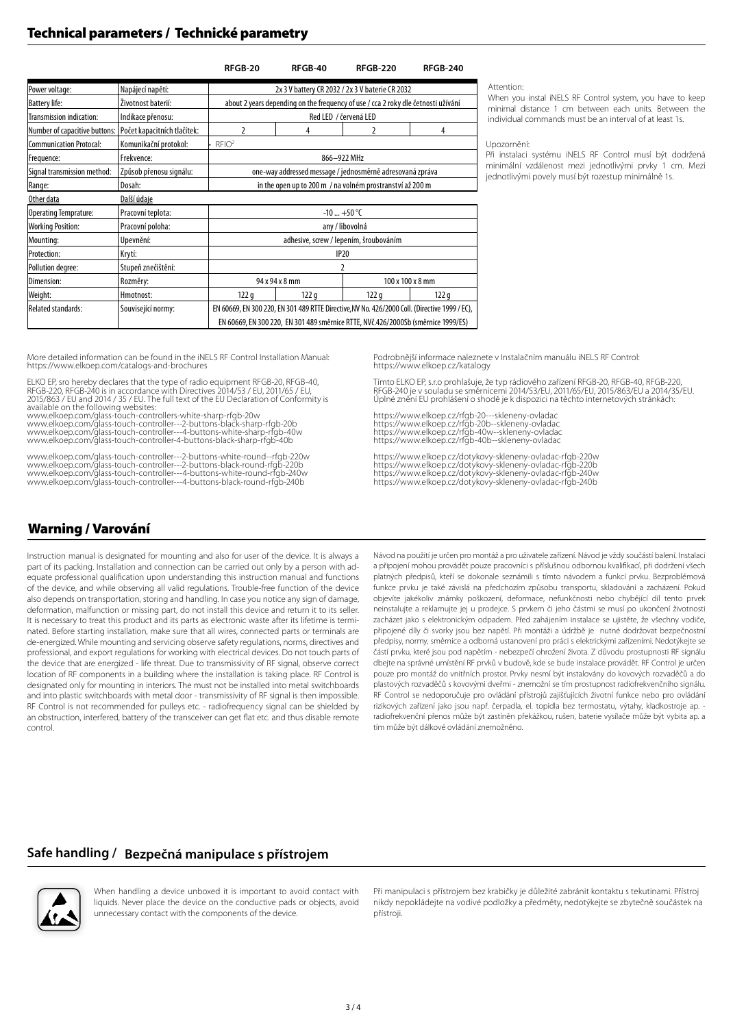## **Technical parameters / Technické parametry**

### **RFGB-20 RFGB-40 RFGB-220 RFGB-240**

| Power voltage:                 | Napájecí napětí:            | 2x 3 V battery CR 2032 / 2x 3 V baterie CR 2032                                               |      |                  |      |  |  |  |
|--------------------------------|-----------------------------|-----------------------------------------------------------------------------------------------|------|------------------|------|--|--|--|
| <b>Battery life:</b>           | Životnost baterií:          | about 2 years depending on the frequency of use / cca 2 roky dle četnosti užívání             |      |                  |      |  |  |  |
| Transmission indication:       | Indikace přenosu:           | Red LED / červená LED                                                                         |      |                  |      |  |  |  |
| Number of capacitive buttons:  | Počet kapacitních tlačítek: | 2                                                                                             | 4    | 2                | 4    |  |  |  |
| <b>Communication Protocal:</b> | Komunikační protokol:       | RFIO <sup>2</sup>                                                                             |      |                  |      |  |  |  |
| Frequence:                     | Frekvence:                  | 866-922 MHz                                                                                   |      |                  |      |  |  |  |
| Signal transmission method:    | Způsob přenosu signálu:     | one-way addressed message / jednosměrně adresovaná zpráva                                     |      |                  |      |  |  |  |
| Range:                         | Dosah:                      | in the open up to 200 m / na volném prostranství až 200 m                                     |      |                  |      |  |  |  |
| Other data<br>Další údaje      |                             |                                                                                               |      |                  |      |  |  |  |
| Operating Temprature:          | Pracovní teplota:           | $-10+50$ °C                                                                                   |      |                  |      |  |  |  |
| <b>Working Position:</b>       | Pracovní poloha:            | any / libovolná                                                                               |      |                  |      |  |  |  |
| Mounting:                      | Upevnění:                   | adhesive, screw / lepením, šroubováním                                                        |      |                  |      |  |  |  |
| Protection:                    | Krytí:                      | <b>IP20</b>                                                                                   |      |                  |      |  |  |  |
| Pollution degree:              | Stupeň znečištění:          |                                                                                               |      |                  |      |  |  |  |
| Dimension:                     | Rozměry:                    | 94 x 94 x 8 mm                                                                                |      | 100 x 100 x 8 mm |      |  |  |  |
| Weight:                        | Hmotnost:                   | 122q                                                                                          | 122q | 122q             | 122q |  |  |  |
| <b>Related standards:</b>      | Související normy:          | EN 60669, EN 300 220, EN 301 489 RTTE Directive, NV No. 426/2000 Coll. (Directive 1999 / EC), |      |                  |      |  |  |  |
|                                |                             | EN 60669, EN 300 220, EN 301 489 směrnice RTTE, NVč.426/2000Sb (směrnice 1999/ES)             |      |                  |      |  |  |  |

Attention:

When you instal iNELS RF Control system, you have to keep minimal distance 1 cm between each units. Between the individual commands must be an interval of at least 1s.

#### Upozornění:

Při instalaci systému iNELS RF Control musí být dodržená minimální vzdálenost mezi jednotlivými prvky 1 cm. Mezi jednotlivými povely musí být rozestup minimálně 1s.

More detailed information can be found in the iNELS RF Control Installation Manual: https://www.elkoep.com/catalogs-and-brochures

ELKO EP, sro hereby declares that the type of radio equipment RFGB-20, RFGB-40, RFGB-220, RFGB-240 is in accordance with Directives 2014/53 / EU, 2011/65 / EU, 2015/863 / EU and 2014 / 35 / EU. The full text of the EU Declaration of Conformity is available on the following websites:

www.elkoep.com/glass-touch-controllers-white-sharp-rfgb-20w www.elkoep.com/glass-touch-controller---2-buttons-black-sharp-rfgb-20b www.elkoep.com/glass-touch-controller---4-buttons-white-sharp-rfgb-40w www.elkoep.com/glass-touch-controller-4-buttons-black-sharp-rfgb-40b

www.elkoep.com/glass-touch-controller---2-buttons-white-round--rfgb-220w www.elkoep.com/glass-touch-controller---2-buttons-black-round-rfgb-220b www.elkoep.com/glass-touch-controller---4-buttons-white-round-rfgb-240w www.elkoep.com/glass-touch-controller---4-buttons-black-round-rfgb-240b

Podrobnější informace naleznete v Instalačním manuálu iNELS RF Control: https://www.elkoep.cz/katalogy

Tímto ELKO EP, s.r.o prohlašuje, že typ rádiového zařízení RFGB-20, RFGB-40, RFGB-220, RFGB-240 je v souladu se směrnicemi 2014/53/EU, 2011/65/EU, 2015/863/EU a 2014/35/EU. Úplné znění EU prohlášení o shodě je k dispozici na těchto internetových stránkách:

https://www.elkoep.cz/rfgb-20---skleneny-ovladac https://www.elkoep.cz/rfgb-20b--skleneny-ovladac https://www.elkoep.cz/rfgb-40w--skleneny-ovladac https://www.elkoep.cz/rfgb-40b--skleneny-ovladac

https://www.elkoep.cz/dotykovy-skleneny-ovladac-rfgb-220w https://www.elkoep.cz/dotykovy-skleneny-ovladac-rfgb-220b https://www.elkoep.cz/dotykovy-skleneny-ovladac-rfgb-240w https://www.elkoep.cz/dotykovy-skleneny-ovladac-rfgb-240b

### **Warning / Varování**

Instruction manual is designated for mounting and also for user of the device. It is always a part of its packing. Installation and connection can be carried out only by a person with adequate professional qualification upon understanding this instruction manual and functions of the device, and while observing all valid regulations. Trouble-free function of the device also depends on transportation, storing and handling. In case you notice any sign of damage, deformation, malfunction or missing part, do not install this device and return it to its seller. It is necessary to treat this product and its parts as electronic waste after its lifetime is terminated. Before starting installation, make sure that all wires, connected parts or terminals are de-energized. While mounting and servicing observe safety regulations, norms, directives and professional, and export regulations for working with electrical devices. Do not touch parts of the device that are energized - life threat. Due to transmissivity of RF signal, observe correct location of RF components in a building where the installation is taking place. RF Control is designated only for mounting in interiors. The must not be installed into metal switchboards and into plastic switchboards with metal door - transmissivity of RF signal is then impossible. RF Control is not recommended for pulleys etc. - radiofrequency signal can be shielded by an obstruction, interfered, battery of the transceiver can get flat etc. and thus disable remote control.

Návod na použití je určen pro montáž a pro uživatele zařízení. Návod je vždy součástí balení. Instalaci a připojení mohou provádět pouze pracovníci s příslušnou odbornou kvalifikací, při dodržení všech platných předpisů, kteří se dokonale seznámili s tímto návodem a funkcí prvku. Bezproblémová funkce prvku je také závislá na předchozím způsobu transportu, skladování a zacházení. Pokud objevíte jakékoliv známky poškození, deformace, nefunkčnosti nebo chybějící díl tento prvek neinstalujte a reklamujte jej u prodejce. S prvkem či jeho částmi se musí po ukončení životnosti zacházet jako s elektronickým odpadem. Před zahájením instalace se ujistěte, že všechny vodiče, připojené díly či svorky jsou bez napětí. Při montáži a údržbě je nutné dodržovat bezpečnostní předpisy, normy, směrnice a odborná ustanovení pro práci s elektrickými zařízeními. Nedotýkejte se částí prvku, které jsou pod napětím - nebezpečí ohrožení života. Z důvodu prostupnosti RF signálu dbejte na správné umístění RF prvků v budově, kde se bude instalace provádět. RF Control je určen pouze pro montáž do vnitřních prostor. Prvky nesmí být instalovány do kovových rozvaděčů a do plastových rozvaděčů s kovovými dveřmi - znemožní se tím prostupnost radiofrekvenčního signálu. RF Control se nedoporučuje pro ovládání přístrojů zajišťujících životní funkce nebo pro ovládání rizikových zařízení jako jsou např. čerpadla, el. topidla bez termostatu, výtahy, kladkostroje ap. radiofrekvenční přenos může být zastíněn překážkou, rušen, baterie vysílače může být vybita ap. a tím může být dálkové ovládání znemožněno.

### **Safe handling / Bezpečná manipulace s přístrojem**



When handling a device unboxed it is important to avoid contact with liquids. Never place the device on the conductive pads or objects, avoid unnecessary contact with the components of the device.

Při manipulaci s přístrojem bez krabičky je důležité zabránit kontaktu s tekutinami. Přístroj nikdy nepokládejte na vodivé podložky a předměty, nedotýkejte se zbytečně součástek na přístroji.